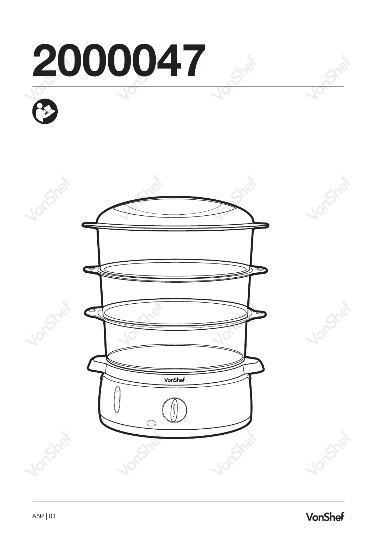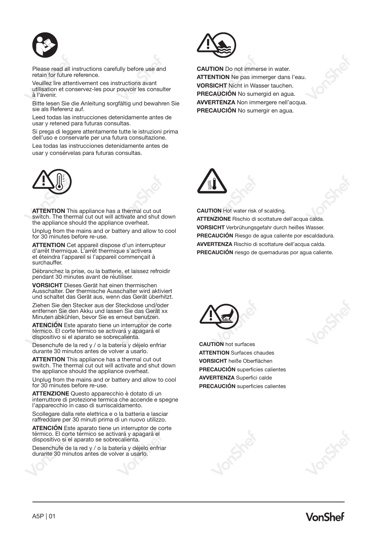

Please read all instructions carefully before use and retain for future reference.

Veuillez lire attentivement ces instructions avant utilisation et conservez-les pour pouvoir les consulter à l'avenir.

Bitte lesen Sie die Anleitung sorgfältig und bewahren Sie sie als Referenz auf.

Leed todas las instrucciones detenidamente antes de usar y retened para futuras consultas.

Si prega di leggere attentamente tutte le istruzioni prima dell'uso e conservarle per una futura consultazione.

Lea todas las instrucciones detenidamente antes de usar y consérvelas para futuras consultas.



**ATTENTION** This appliance has a thermal cut out switch. The thermal cut out will activate and shut down the appliance should the appliance overheat.

Unplug from the mains and or battery and allow to cool for 30 minutes before re-use.

**ATTENTION** Cet appareil dispose d'un interrupteur d'arrêt thermique. L'arrêt thermique s'activera et éteindra l'appareil si l'appareil commençait à surchauffer.

Débranchez la prise, ou la batterie, et laissez refroidir pendant 30 minutes avant de réutiliser.

**VORSICHT** Dieses Gerät hat einen thermischen Ausschalter. Der thermische Ausschalter wird aktiviert und schaltet das Gerät aus, wenn das Gerät überhitzt.

Ziehen Sie den Stecker aus der Steckdose und/oder entfernen Sie den Akku und lassen Sie das Gerät xx Minuten abkühlen, bevor Sie es erneut benutzen.

**ATENCIÓN** Este aparato tiene un interruptor de corte térmico. El corte térmico se activará y apagará el dispositivo si el aparato se sobrecalienta.

Desenchufe de la red y / o la batería y déjelo enfriar durante 30 minutos antes de volver a usarlo.

**ATTENTION** This appliance has a thermal cut out switch. The thermal cut out will activate and shut down the appliance should the appliance overheat.

Unplug from the mains and or battery and allow to cool for 30 minutes before re-use.

**ATTENZIONE** Questo apparecchio è dotato di un interruttore di protezione termica che accende e spegne l'apparecchio in caso di surriscaldamento.

Scollegare dalla rete elettrica e o la batteria e lasciar raffreddare per 30 minuti prima di un nuovo utilizzo.

**ATENCIÓN** Este aparato tiene un interruptor de corte térmico. El corte térmico se activará y apagará el dispositivo si el aparato se sobrecalienta.

Desenchufe de la red y / o la batería y déjelo enfriar durante 30 minutos antes de volver a usarlo.



**CAUTION** Do not immerse in water. **ATTENTION** Ne pas immerger dans l'eau. **VORSICHT** Nicht in Wasser tauchen. **PRECAUCIÓN** No sumergid en agua. **AVVERTENZA** Non immergere nell'acqua. **PRECAUCIÓN** No sumergir en agua.



**CAUTION** Hot water risk of scalding.

**ATTENZIONE** Rischio di scottature dell'acqua calda. **VORSICHT** Verbrühungsgefahr durch heißes Wasser. **PRECAUCIÓN** Riesgo de agua caliente por escaldadura. **AVVERTENZA** Rischio di scottature dell'acqua calda. **PRECAUCIÓN** riesgo de quemaduras por agua caliente.



**CAUTION** hot surfaces **ATTENTION** Surfaces chaudes **VORSICHT** heiße Oberflächen **PRECAUCIÓN** superficies calientes **AVVERTENZA** Superfici calde **PRECAUCIÓN** superficies calientes



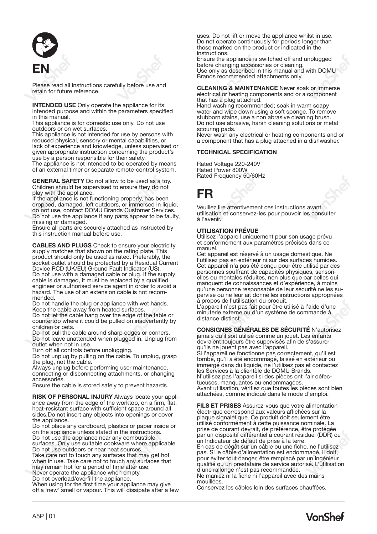

Please read all instructions carefully before use and retain for future reference.

**INTENDED USE** Only operate the appliance for its intended purpose and within the parameters specified in this manual.

This appliance is for domestic use only. Do not use outdoors or on wet surfaces.

This appliance is not intended for use by persons with reduced physical, sensory or mental capabilities, or lack of experience and knowledge, unless supervised or given appropriate instruction concerning the product's use by a person responsible for their safety.

The appliance is not intended to be operated by means of an external timer or separate remote-control system.

**GENERAL SAFETY** Do not allow to be used as a toy. Children should be supervised to ensure they do not

play with the appliance. If the appliance is not functioning properly, has been dropped, damaged, left outdoors, or immersed in liquid, do not use, contact DOMU Brands Customer Services. Do not use the appliance if any parts appear to be faulty, missing or damaged.

Ensure all parts are securely attached as instructed by this instruction manual before use.

**CABLES AND PLUGS** Check to ensure your electricity supply matches that shown on the rating plate. This<br>product should only be used as rated. Preferably, the socket outlet should be protected by a Residual Current Device RCD (UK/EU) Ground Fault Indicator (US). Do not use with a damaged cable or plug. If the supply cable is damaged, it must be replaced by a qualified engineer or authorised service agent in order to avoid a hazard. The use of an extension cable is not recom- mended.

Do not handle the plug or appliance with wet hands. Keep the cable away from heated surfaces.

Do not let the cable hang over the edge of the table or countertop where it could be pulled on inadvertently by children or pets.

Do not pull the cable around sharp edges or corners. Do not leave unattended when plugged in. Unplug from outlet when not in use.<br>Turn off all controls before unplugging.

Turn off all controls before unplugging. Do not unplug by pulling on the cable. To unplug, grasp the plug, not the cable.

Always unplug before performing user maintenance, connecting or disconnecting attachments, or changing accessories.

Ensure the cable is stored safely to prevent hazards.

**RISK OF PERSONAL INJURY** Always locate your appliance away from the edge of the worktop, on a firm, flat, heat-resistant surface with sufficient space around all sides.Do not insert any objects into openings or cover the annliance

Do not place any cardboard, plastics or paper inside or on the appliance unless stated in the instructions.

Do not use the appliance near any combustible surfaces. Only use suitable cookware where applicable. Do not use outdoors or near heat sources.

Take care not to touch any surfaces that may get hot when in use. Take care not to touch any surfaces that may remain hot for a period of time after use. Never operate the appliance when empty.

Do not overload/overfill the appliance.

When using for the first time your appliance may give off a 'new' smell or vapour. This will dissipate after a few

uses. Do not lift or move the appliance whilst in use. Do not operate continuously for periods longer than those marked on the product or indicated in the **instructions** 

Ensure the appliance is switched off and unplugged before changing accessories or cleaning. Use only as described in this manual and with DOMU Brands recommended attachments only.

**CLEANING & MAINTENANCE** Never soak or immerse electrical or heating components and or a component that has a plug attached.

Hand washing recommended; soak in warm soapy water and wipe down using a soft sponge. To remove stubborn stains, use a non abrasive cleaning brush. Do not use abrasive, harsh cleaning solutions or metal scouring pads.

Never wash any electrical or heating components and or a component that has a plug attached in a dishwasher.

## **TECHNICAL SPECIFICATION**

Rated Voltage 220-240V Rated Frequency 50/60Hz

# **FR**

Veuillez lire attentivement ces instructions avant utilisation et conservez-les pour pouvoir les consulter à l'avenir.

#### **UTILISATION PRÉVUE**

Utilisez l'appareil uniquement pour son usage prévu et conformément aux paramètres précisés dans ce manuel.

Cet appareil est réservé à un usage domestique. Ne l'utilisez pas en extérieur ni sur des surfaces humides. Cet appareil n'a pas été conçu pour être utilisé par des personnes souffrant de capacités physiques, sensorielles ou mentales réduites, non plus que par celles qui manquent de connaissances et d'expérience, à moins qu'une personne responsable de leur sécurité ne les supervise ou ne leur ait donné les instructions appropriées à propos de l'utilisation du produit.

L'appareil n'est pas fait pour être utilisé à l'aide d'une minuterie externe ou d'un système de commande à distance distinct.

**CONSIGNES GÉNÉRALES DE SÉCURITÉ** N'autorisez jamais qu'il soit utilisé comme un jouet. Les enfants devraient toujours être supervisés afin de s'assurer

qu'ils ne jouent pas avec l'appareil. Si l'appareil ne fonctionne pas correctement, qu'il est tombé, qu'il a été endommagé, laissé en extérieur ou immergé dans du liquide, ne l'utilisez pas et contactez les Services à la clientèle de DOMU Brands. N'utilisez pas l'appareil si des pièces ont l'air défectueuses, manquantes ou endommagées. Avant utilisation, vérifiez que toutes les pièces sont bien attachées, comme indiqué dans le mode d'emploi.

**FILS ET PRISES** Assurez-vous que votre alimentation électrique correspond aux valeurs affichées sur la plaque signalétique. Ce produit doit seulement être utilisé conformément à cette puissance nominale. La prise de courant devrait, de préférence, être protégée par un dispositif différentiel à courant résiduel (DDR) ou un Indicateur de défaut de prise à la terre. En cas de dégât sur un câble ou une fiche, ne l'utilisez pas. Si le câble d'alimentation est endommagé, il doit, pour éviter tout danger, être remplacé par un ingénieur qualifié ou un prestataire de service autorisé. L'utilisation d'une rallonge n'est pas recommandée. Ne maniez ni la fiche ni l'appareil avec des mains mouillées.

Conservez les câbles loin des surfaces chauffées.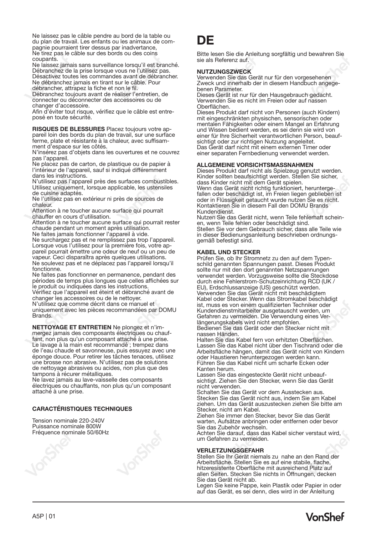Ne laissez pas le câble pendre au bord de la table ou du plan de travail. Les enfants ou les animaux de compagnie pourraient tirer dessus par inadvertance, Ne tirez pas le câble sur des bords ou des coins coupants.

Ne laissez jamais sans surveillance lorsqu'il est branché. Débranchez de la prise lorsque vous ne l'utilisez pas. Désactivez toutes les commandes avant de débrancher. Ne débranchez jamais en tirant sur le câble. Pour

débrancher, attrapez la fiche et non le fil. Débranchez toujours avant de réaliser l'entretien, de

connecter ou déconnecter des accessoires ou de changer d'accessoire.

Afin d'éviter tout risque, vérifiez que le câble est entreposé en toute sécurité.

**RISQUES DE BLESSURES** Placez toujours votre appareil loin des bords du plan de travail, sur une surface ferme, plate et résistante à la chaleur, avec suffisamment d'espace sur les côtés.

N'insérez pas d'objets dans les ouvertures et ne couvrez pas l'appareil.

Ne placez pas de carton, de plastique ou de papier à l'intérieur de l'appareil, sauf si indiqué différemment dans les instructions.

N'utilisez pas l'appareil près des surfaces combustibles. Utilisez uniquement, lorsque applicable, les ustensiles de cuisine adaptés.

Ne l'utilisez pas en extérieur ni près de sources de chaleur.

Attention à ne toucher aucune surface qui pourrait chauffer en cours d'utilisation.

Attention à ne toucher aucune surface qui pourrait rester chaude pendant un moment après utilisation.

Ne faites jamais fonctionner l'appareil à vide.

Ne surchargez pas et ne remplissez pas trop l'appareil. Lorsque vous l'utilisez pour la première fois, votre appareil pourrait émettre une odeur de neuf ou un peu de vapeur. Ceci disparaîtra après quelques utilisations. Ne soulevez pas et ne déplacez pas l'appareil lorsqu'il fonctionne.

Ne faites pas fonctionner en permanence, pendant des périodes de temps plus longues que celles affichées sur le produit ou indiquées dans les instructions.

Vérifiez que l'appareil est éteint et débranché avant de changer les accessoires ou de le nettoyer.

N'utilisez que comme décrit dans ce manuel et uniquement avec les pièces recommandées par DOMU **Brands** 

**NETTOYAGE ET ENTRETIEN** Ne plongez et n'immergez jamais des composants électriques ou chauffant, non plus qu'un composant attaché à une prise. Le lavage à la main est recommandé ; trempez dans de l'eau chaude et savonneuse, puis essuyez avec une éponge douce. Pour retirer les tâches tenaces, utilisez une brosse non abrasive. N'utilisez pas de solutions de nettoyage abrasives ou acides, non plus que des tampons à récurer métalliques.

Ne lavez jamais au lave-vaisselle des composants électriques ou chauffants, non plus qu'un composant attaché à une prise.

## **CARACTÉRISTIQUES TECHNIQUES**

Tension nominale 220-240V Puissance nominale 800W Fréquence nominale 50/60Hz



# **DE**

Bitte lesen Sie die Anleitung sorgfältig und bewahren Sie sie als Referenz auf.

#### **NUTZUNGSZWECK**

Verwenden Sie das Gerät nur für den vorgesehenen Zweck und innerhalb der in diesem Handbuch angegebenen Parameter.

Dieses Gerät ist nur für den Hausgebrauch gedacht. Verwenden Sie es nicht im Freien oder auf nassen Oberflächen.

Dieses Produkt darf nicht von Personen (auch Kindern) mit eingeschränkten physischen, sensorischen oder mentalen Fähigkeiten oder einem Mangel an Erfahrung und Wissen bedient werden, es sei denn sie wird von einer für Ihre Sicherheit verantwortlichen Person, beaufsichtigt oder zur richtigen Nutzung angeleitet. Das Gerät darf nicht mit einem externen Timer oder einer separaten Fernbedienung verwendet werden.

## **ALLGEMEINE VORSICHTSMASSNAHMEN**

Dieses Produkt darf nicht als Spielzeug genutzt werden. Kinder sollten beaufsichtigt werden. Stellen Sie sicher, dass Kinder nicht mit dem Gerät spielen. Wenn das Gerät nicht richtig funktioniert, heruntergefallen oder beschädigt ist, im Freien liegen geblieben ist oder in Flüssigkeit getaucht wurde nutzen Sie es nicht. Kontaktieren Sie in diesem Fall den DOMU Brands Kundendienst.

Nutzen Sie das Gerät nicht, wenn Teile fehlerhaft scheinen, wenn Teile fehlen oder beschädigt sind. Stellen Sie vor dem Gebrauch sicher, dass alle Teile wie in dieser Bedienungsanleitung beschrieben ordnungsm alssel Bealenangee

#### **KABEL UND STECKER**

Prüfen Sie, ob Ihr Stromnetz zu den auf dem Typenschild genannten Spannungen passt. Dieses Produkt sollte nur mit den dort genannten Netzspannungen verwendet werden. Vorzugsweise sollte die Steckdose durch eine Fehlerstrom-Schutzeinrichtung RCD (UK / EU), Erdschlussanzeige (US) geschützt werden. Verwenden Sie das Gerät nicht mit beschädigtem Kabel oder Stecker. Wenn das Stromkabel beschädigt ist, muss es von einem qualifizierten Techniker oder Kundendienstmitarbeiter ausgetauscht werden, um Gefahren zu vermeiden. Die Verwendung eines Verlängerungskabels wird nicht empfohlen.

Bedienen Sie das Gerät oder den Stecker nicht mit nassen Händen.

Halten Sie das Kabel fern von erhitzten Oberflächen. Lassen Sie das Kabel nicht über den Tischrand oder die Arbeitsfläche hängen, damit das Gerät nicht von Kindern oder Haustieren heruntergezogen werden kann. Führen Sie das Kabel nicht um scharfe Ecken oder Kanten herum.

Lassen Sie das eingesteckte Gerät nicht unbeaufsichtigt. Ziehen Sie den Stecker, wenn Sie das Gerät nicht verwenden.

Schalten Sie das Gerät vor dem Ausstecken aus. Stecken Sie das Gerät nicht aus, indem Sie am Kabel ziehen. Um das Gerät auszustecken ziehen Sie bitte am zionen: om das derat ad<br>Stecker, nicht am Kabel

Ziehen Sie immer den Stecker, bevor Sie das Gerät warten, Aufsätze anbringen oder entfernen oder bevor Sie das Zubehör wechseln.

Achten Sie darauf, dass das Kabel sicher verstaut wird, um Gefahren zu vermeiden.

#### **VERLETZUNGSGEFAHR**

Stellen Sie Ihr Gerät niemals zu nahe an den Rand der Arbeitsfläche. Stellen Sie es auf eine stabile, flache, hitzeresistente Oberfläche mit ausreichend Platz auf allen Seiten. Stecken Sie nichts in Öffnungen, decken Sie das Gerät nicht ab.

Legen Sie keine Pappe, kein Plastik oder Papier in oder auf das Gerät, es sei denn, dies wird in der Anleitung

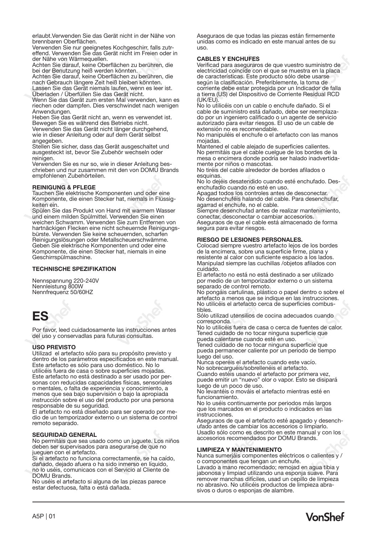erlaubt.Verwenden Sie das Gerät nicht in der Nähe von brennbaren Oberflächen.

Verwenden Sie nur geeignetes Kochgeschirr, falls zutr-effend. Verwenden Sie das Gerät nicht im Freien oder in der Nähe von Wärmequellen.

Achten Sie darauf, keine Oberflächen zu berühren, die bei der Benutzung heiß werden könnten.

Achten Sie darauf, keine Oberflächen zu berühren, die nach Gebrauch längere Zeit heiß bleiben könnten.

Lassen Sie das Gerät niemals laufen, wenn es leer ist. Überladen / Überfüllen Sie das Gerät nicht.

Wenn Sie das Gerät zum ersten Mal verwenden, kann es riechen oder dampfen. Dies verschwindet nach wenigen Anwendungen.

Heben Sie das Gerät nicht an, wenn es verwendet ist. Bewegen Sie es während des Betriebs nicht.

Verwenden Sie das Gerät nicht länger durchgehend, wie in dieser Anleitung oder auf dem Gerät selbst angegeben.

Stellen Sie sicher, dass das Gerät ausgeschaltet und ausgesteckt ist, bevor Sie Zubehör wechseln oder reinigen.

Verwenden Sie es nur so, wie in dieser Anleitung beschrieben und nur zusammen mit den von DOMU Brands empfohlenen Zubehörteilen.

**REINIGUNG & PFLEGE** Tauchen Sie elektrische Komponenten und oder eine Komponente, die einen Stecker hat, niemals in Flüssigkeiten ein.

Spülen Sie das Produkt von Hand mit warmem Wasser und einem milden Spülmittel. Verwenden Sie einen weichen Schwamm. Verwenden Sie zum Entfernen von hartnäckigen Flecken eine nicht scheuernde Reinigungsbürste. Verwenden Sie keine scheuernden, scharfen Reinigungslösungen oder Metallscheuerschwämme. Geben Sie elektrische Komponenten und oder eine Komponente, die einen Stecker hat, niemals in eine Geschirrspülmaschine.

## **TECHNISCHE SPEZIFIKATION**

Nennspannung 220-240V Nennleistung 800W Nennfrequenz 50/60HZ



Por favor, leed cuidadosamente las instrucciones antes del uso y conservadlas para futuras consultas.

#### **USO PREVISTO**

Utilizad el artefacto sólo para su propósito previsto y dentro de los parámetros especificados en este manual. Este artefacto es sólo para uso doméstico. No lo utilicéis fuera de casa o sobre superficies mojadas. Este artefacto no está destinado a ser usado por personas con reducidas capacidades físicas, sensoriales o mentales, o falta de experiencia y conocimiento, a menos que sea bajo supervisión o bajo la apropiada instrucción sobre el uso del producto por una persona responsable de su seguridad.

El artefacto no está diseñado para ser operado por medio de un temporizador externo o un sistema de control remoto separado.

### **SEGURIDAD GENERAL**

No permitáis que sea usado como un juguete. Los niños deben ser supervisados para asegurarse de que no jueguen con el artefacto.

Si el artefacto no funciona correctamente, se ha caído, dañado, dejado afuera o ha sido inmerso en líquido, no lo uséis, comunicaos con el Servicio al Cliente de DOMU Brands.

No uséis el artefacto si alguna de las piezas parece estar defectuosa, falta o está dañada.

Aseguraos de que todas las piezas están firmemente unidas como es indicado en este manual antes de su uso.

#### **CABLES Y ENCHUFES**

Verificad para aseguraros de que vuestro suministro de electricidad coincide con el que se muestra en la placa de características. Este producto sólo debe usarse según la clasificación. Preferiblemente, la toma de corriente debe estar protegida por un Indicador de falla a tierra (US) del Dispositivo de Corriente Residual RCD (UK/EU).

No lo utilicéis con un cable o enchufe dañado. Si el cable de suministro está dañado, debe ser reemplazado por un ingeniero calificado o un agente de servicio autorizado para evitar riesgos. El uso de un cable de extensión no es recomendable.

No manipuléis el enchufe o el artefacto con las manos mojadas.

Mantened el cable alejado de superficies calientes. No permitáis que el cable cuelgue de los bordes de la mesa o encimera donde podría ser halado inadvertidamente por niños o mascotas.

No tiréis del cable alrededor de bordes afilados o esquinas.

No lo dejéis desatendido cuando esté enchufado. Desenchufadlo cuando no esté en uso.

Apagad todos los controles antes de desconectar. No desenchuféis halando del cable. Para desenchufar, agarrad el enchufe, no el cable.

Siempre desenchufad antes de realizar mantenimiento, conectar, desconectar o cambiar accesorios.

Aseguraos de que el cable está almacenado de forma segura para evitar riesgos.

#### **RIESGO DE LESIONES PERSONALES.**

Colocad siempre vuestro artefacto lejos de los bordes de la encimera, sobre una superficie firme, plana y resistente al calor con suficiente espacio a los lados. Manipulad siempre las cuchillas /objetos afilados con cuidado.

El artefacto no está no está destinado a ser utilizado por medio de un temporizador externo o un sistema separado de control remoto.

No pongáis cartulinas, plástico o papel dentro o sobre el artefacto a menos que se indique en las instrucciones. No utilicéis el artefacto cerca de superficies combustibles.

Sólo utilizad utensilios de cocina adecuados cuando corresponda.

No lo utilicéis fuera de casa o cerca de fuentes de calor. Tened cuidado de no tocar ninguna superficie que pueda calentarse cuando esté en uso.

Tened cuidado de no tocar ninguna superficie que pueda permanecer caliente por un periodo de tiempo luego del uso.

Nunca operéis el artefacto cuando este vacío. No sobrecarguéis/sobrellenéis el artefacto.

Cuando estéis usando el artefacto por primera vez, puede emitir un "nuevo" olor o vapor. Esto se disipará luego de un poco de uso.

No levantéis o mováis el artefacto mientras esté en funcionamiento.

No lo uséis continuamente por periodos más largos que los marcados en el producto o indicados en las instrucciones.

Aseguraos de que el artefacto esté apagado y desenchufado antes de cambiar los accesorios o limpiarlo. Usadlo sólo como es descrito en este manual y con los accesorios recomendados por DOMU Brands.

#### **LIMPIEZA Y MANTENIMIENTO**

Nunca sumerjáis componentes eléctricos o calientes y / o componentes que tengan un enchufe.

Lavado a mano recomendado; remojad en agua tibia y jabonosa y limpiad utilizando una esponja suave. Para remover manchas difíciles, usad un cepillo de limpieza no abrasivo. No utilicéis productos de limpieza abrasivos o duros o esponjas de alambre.

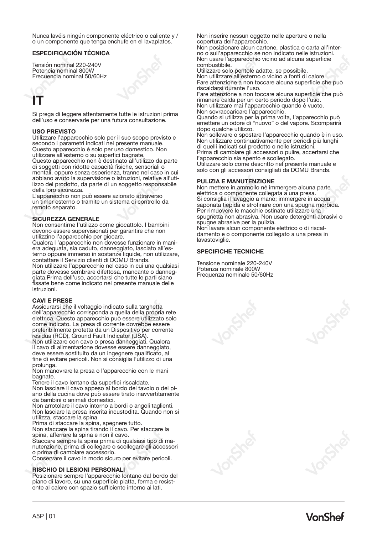Nunca lavéis ningún componente eléctrico o caliente y / o un componente que tenga enchufe en el lavaplatos.

## **ESPECIFICACIÓN TÉCNICA**

Tensión nominal 220-240V Potencia nominal 800W Frecuencia nominal 50/60Hz

# **IT**

Si prega di leggere attentamente tutte le istruzioni prima dell'uso e conservarle per una futura consultazione.

#### **USO PREVISTO**

Utilizzare l'apparecchio solo per il suo scopo previsto e secondo i parametri indicati nel presente manuale. Questo apparecchio è solo per uso domestico. Non utilizzare all'esterno o su superfici bagnate. Questo apparecchio non è destinato all'utilizzo da parte di soggetti con ridotte capacità fisiche, sensoriali o mentali, oppure senza esperienza, tranne nel caso in cui abbiano avuto la supervisione o istruzioni, relative all'utilizzo del prodotto, da parte di un soggetto responsabile della loro sicurezza.

L'apparecchio non può essere azionato attraverso un timer esterno o tramite un sistema di controllo da remoto separato.

#### **SICUREZZA GENERALE**

Non consentirne l'utilizzo come giocattolo. I bambini devono essere supervisionati per garantire che non utilizzino l'apparecchio per giocare.

Qualora l 'apparecchio non dovesse funzionare in maniera adeguata, sia caduto, danneggiato, lasciato all'esterno oppure immerso in sostanze liquide, non utilizzare, contattare il Servizio clienti di DOMU Brands. Non utilizzare l'apparecchio nel caso in cui una qualsiasi parte dovesse sembrare difettosa, mancante o danneggiata.Prima dell'uso, accertarsi che tutte le parti siano fissate bene come indicato nel presente manuale delle istruzioni.

#### **CAVI E PRESE**

Assicurarsi che il voltaggio indicato sulla targhetta dell'apparecchio corrisponda a quella della propria rete elettrica. Questo apparecchio può essere utilizzato solo come indicato. La presa di corrente dovrebbe essere preferibilmente protetta da un Dispositivo per corrente residua (RCD), Ground Fault Indicator (USA).

Non utilizzare con cavo o presa danneggiati. Qualora il cavo di alimentazione dovesse essere danneggiato, deve essere sostituito da un ingegnere qualificato, al fine di evitare pericoli. Non si consiglia l'utilizzo di una

prolunga. Non manovrare la presa o l'apparecchio con le mani bagnate.

Tenere il cavo lontano da superfici riscaldate.

Non lasciare il cavo appeso al bordo del tavolo o del piano della cucina dove può essere tirato inavvertitamente da bambini o animali domestici.

Non arrotolare il cavo intorno a bordi o angoli taglienti. Non lasciare la presa inserita incustodita. Quando non si utilizza, staccare la spina.

Prima di staccare la spina, spegnere tutto.

Non staccare la spina tirando il cavo. Per staccare la

spina, afferrare la spina e non il cavo. Staccare sempre la spina prima di qualsiasi tipo di manutenzione, prima di collegare o scollegare gli accessori o prima di cambiare accessorio.

Conservare il cavo in modo sicuro per evitare pericoli.

### **RISCHIO DI LESIONI PERSONALI**

Posizionare sempre l'apparecchio lontano dal bordo del piano di lavoro, su una superficie piatta, ferma e resistente al calore con spazio sufficiente intorno ai lati.

Non inserire nessun oggetto nelle aperture o nella copertura dell'apparecchio.

Non posizionare alcun cartone, plastica o carta all'interno o sull'apparecchio se non indicato nelle istruzioni. Non usare l'apparecchio vicino ad alcuna superficie combustibile.

Utilizzare solo pentole adatte, se possibile. Non utilizzare all'esterno o vicino a fonti di calore. Fare attenzione a non toccare alcuna superficie che può riscaldarsi durante l'uso.

Fare attenzione a non toccare alcuna superficie che può rimanere calda per un certo periodo dopo l'uso. Non utilizzare mai l'apparecchio quando è vuoto. Non sovraccaricare l'apparecchio.

Quando si utilizza per la prima volta, l'apparecchio può emettere un odore di "nuovo" o del vapore. Scomparirà dopo qualche utilizzo.

Non sollevare o spostare l'apparecchio quando è in uso. Non utilizzare continuativamente per periodi più lunghi di quelli indicati sul prodotto o nelle istruzioni.

Prima di cambiare gli accessori o pulire, accertarsi che l'apparecchio sia spento e scollegato.

Utilizzare solo come descritto nel presente manuale e solo con gli accessori consigliati da DOMU Brands.

### **PULIZIA E MANUTENZIONE**

Non mettere in ammollo né immergere alcuna parte elettrica o componente collegata a una presa. Si consiglia il lavaggio a mano; immergere in acqua saponata tiepida e strofinare con una spugna morbida. Per rimuovere le macchie ostinate utilizzare una spugnetta non abrasiva. Non usare detergenti abrasivi o spugne abrasive per la pulizia.

Non lavare alcun componente elettrico o di riscaldamento e o componente collegato a una presa in lavastoviglie.

#### **SPECIFICHE TECNICHE**

Tensione nominale 220-240V Potenza nominale 800W Frequenza nominale 50/60Hz

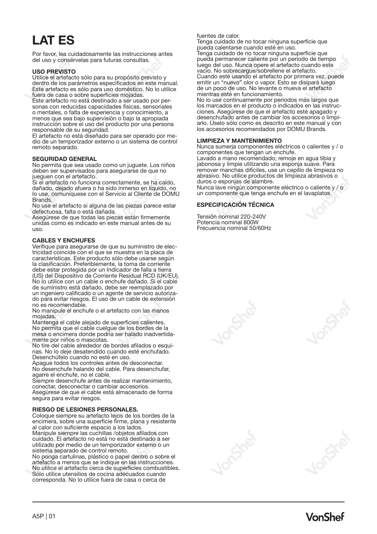# **LAT ES**

Por favor, lea cuidadosamente las instrucciones antes del uso y consérvelas para futuras consultas.

#### **USO PREVISTO**

Utilice el artefacto sólo para su propósito previsto y dentro de los parámetros especificados en este manual. Este artefacto es sólo para uso doméstico. No lo utilice fuera de casa o sobre superficies mojadas.

Este artefacto no está destinado a ser usado por personas con reducidas capacidades físicas, sensoriales o mentales, o falta de experiencia y conocimiento, a menos que sea bajo supervisión o bajo la apropiada instrucción sobre el uso del producto por una persona responsable de su seguridad.

El artefacto no está diseñado para ser operado por medio de un temporizador externo o un sistema de control remoto separado.

#### **SEGURIDAD GENERAL**

No permita que sea usado como un juguete. Los niños deben ser supervisados para asegurarse de que no

jueguen con el artefacto. Si el artefacto no funciona correctamente, se ha caído, dañado, dejado afuera o ha sido inmerso en líquido, no lo use, comuníquese con el Servicio al Cliente de DOMU **Brands** 

No use el artefacto si alguna de las piezas parece estar defectuosa, falta o está dañada.

Asegúrese de que todas las piezas están firmemente unidas como es indicado en este manual antes de su uso.

### **CABLES Y ENCHUFES**

Verifique para asegurarse de que su suministro de electricidad coincide con el que se muestra en la placa de características. Este producto sólo debe usarse según la clasificación. Preferiblemente, la toma de corriente debe estar protegida por un Indicador de falla a tierra (US) del Dispositivo de Corriente Residual RCD (UK/EU). No lo utilice con un cable o enchufe dañado. Si el cable de suministro está dañado, debe ser reemplazado por un ingeniero calificado o un agente de servicio autorizado para evitar riesgos. El uso de un cable de extensión no es recomendable.

No manipule el enchufe o el artefacto con las manos mojadas.

Mantenga el cable alejado de superficies calientes. No permita que el cable cuelgue de los bordes de la mesa o encimera donde podría ser halado inadvertidamente por niños o mascotas.

No tire del cable alrededor de bordes afilados o esquinas. No lo deje desatendido cuando esté enchufado. Desenchúfelo cuando no esté en uso.

Apague todos los controles antes de desconectar. No desenchufe halando del cable. Para desenchufar, agarre el enchufe, no el cable.

Siempre desenchufe antes de realizar mantenimiento, conectar, desconectar o cambiar accesorios. Asegúrese de que el cable está almacenado de forma segura para evitar riesgos.

#### **RIESGO DE LESIONES PERSONALES.**

Coloque siempre su artefacto lejos de los bordes de la encimera, sobre una superficie firme, plana y resistente al calor con suficiente espacio a los lados.

Manipule siempre las cuchillas /objetos afilados con cuidado. El artefacto no está no está destinado a ser utilizado por medio de un temporizador externo o un sistema separado de control remoto.

No ponga cartulinas, plástico o papel dentro o sobre el artefacto a menos que se indique en las instrucciones. No utilice el artefacto cerca de superficies combustibles. Sólo utilice utensilios de cocina adecuados cuando corresponda. No lo utilice fuera de casa o cerca de

fuentes de calor. Tenga cuidado de no tocar ninguna superficie que

pueda calentarse cuando esté en uso. Tenga cuidado de no tocar ninguna superficie que pueda permanecer caliente por un periodo de tiempo luego del uso. Nunca opere el artefacto cuando este vacío. No sobrecargue/sobrellene el artefacto. Cuando esté usando el artefacto por primera vez, puede emitir un "nuevo" olor o vapor. Esto se disipará luego de un poco de uso. No levante o mueva el artefacto mientras esté en funcionamiento.

No lo use continuamente por periodos más largos que ciones. Asegúrese de que el artefacto esté apagado y desenchufado antes de cambiar los accesorios o limpiarlo. Úselo sólo como es descrito en este manual y con los accesorios recomendados por DOMU Brands.

#### **LIMPIEZA Y MANTENIMIENTO**

Nunca sumerja componentes eléctricos o calientes y / o componentes que tengan un enchufe.

Lavado a mano recomendado; remoje en agua tibia y jabonosa y limpie utilizando una esponja suave. Para remover manchas difíciles, use un cepillo de limpieza no abrasivo. No utilice productos de limpieza abrasivos o duros o esponjas de alambre.

Nunca lave ningún componente eléctrico o caliente y / o un componente que tenga enchufe en el lavaplatos.

## **ESPECIFICACIÓN TÉCNICA**

Tensión nominal 220-240V<br>Potencia nominal 800W<br>Frecuencia nominal 50/60Hz

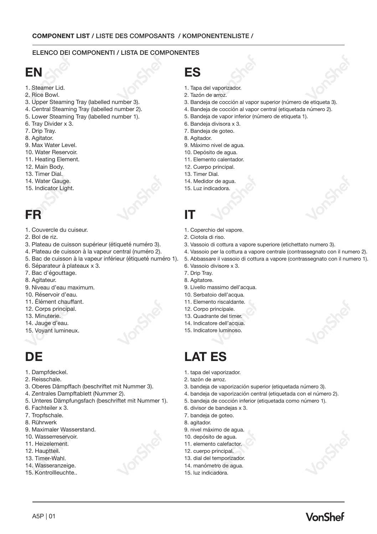## ELENCO DEI COMPONENTI / LISTA DE COMPONENTES

# **EN**

- 1. Steamer Lid.
- 2. Rice Bowl.
- 3. Upper Steaming Tray (labelled number 3).
- 4. Central Steaming Tray (labelled number 2).
- 5. Lower Steaming Tray (labelled number 1).
- 6. Tray Divider x 3.
- 7. Drip Tray.
- 8. Agitator.
- 9. Max Water Level.
- 10. Water Reservoir.
- 11. Heating Element.
- 12. Main Body.
- 13. Timer Dial.
- 14. Water Gauge.
- 15. Indicator Light.

# **FR**

- 1. Couvercle du cuiseur.
- 2. Bol de riz.
- 3. Plateau de cuisson supérieur (étiqueté numéro 3).
- 4. Plateau de cuisson à la vapeur central (numéro 2).
- 5. Bac de cuisson à la vapeur inférieur (étiqueté numéro 1).
- 6. Séparateur à plateaux x 3.
- 7. Bac d'égouttage.
- 8. Agitateur.
- 9. Niveau d'eau maximum.
- 10. Réservoir d'eau.
- 11. Élément chauffant.
- 12. Corps principal.
- 13. Minuterie.
- 14. Jauge d'eau.
- 15. Voyant lumineux.

# **DE**

- 1. Dampfdeckel.
- 2. Reisschale.
- 3. Oberes Dämpffach (beschriftet mit Nummer 3).
- 4. Zentrales Dampftablett (Nummer 2).
- 5. Unteres Dämpfungsfach (beschriftet mit Nummer 1).
- 6. Fachteiler x 3.
- 7. Tropfschale.
- 8. Rührwerk
- 9. Maximaler Wasserstand.
- 10. Wasserreservoir.
- 11. Heizelement.
- 12. Hauptteil.

A5P | 01

- 13. Timer-Wahl.
- 14. Wasseranzeige.
- 15. Kontrollleuchte..
- **ES**
- 1. Tapa del vaporizador.
- 2. Tazón de arroz.
- 3. Bandeja de cocción al vapor superior (número de etiqueta 3).
- 4. Bandeja de cocción al vapor central (etiquetada número 2).
- 5. Bandeja de vapor inferior (número de etiqueta 1).
- 6. Bandeja divisora x 3.
- 7. Bandeja de goteo.
- 8. Agitador.
- 9. Máximo nivel de agua.
- 10. Depósito de agua.
- 11. Elemento calentador.
- 12. Cuerpo principal.
- 13. Timer Dial.
- 14. Medidor de agua.
- 15. Luz indicadora.

# **IT**

- 1. Coperchio del vapore.
- 2. Ciotola di riso.
- 3. Vassoio di cottura a vapore superiore (etichettato numero 3).
- 4. Vassoio per la cottura a vapore centrale (contrassegnato con il numero 2).
- 5. Abbassare il vassoio di cottura a vapore (contrassegnato con il numero 1).
- 6. Vassoio divisore x 3.
- 7. Drip Tray.
- 8. Agitatore.
- 9. Livello massimo dell'acqua. 10. Serbatoio dell'acqua.
- 11. Elemento riscaldante.
- 12. Corpo principale.
- 13. Quadrante del timer.
- 14. Indicatore dell'acqua.
- 15. Indicatore luminoso.
- 

# **LAT ES**

- 1. tapa del vaporizador.
- 2. tazón de arroz.
- 3. bandeja de vaporización superior (etiquetada número 3).
- 4. bandeja de vaporización central (etiquetada con el número 2).
- 5. bandeja de cocción inferior (etiquetada como número 1).
- 6. divisor de bandejas x 3.
- 7. bandeja de goteo.
- 8. agitador.
- 9. nivel máximo de agua.
- 10. depósito de agua.
- 11. elemento calefactor.
- 12. cuerpo principal.
- 13. dial del temporizador.
- 14. manómetro de agua. 15. luz indicadora.

VonShef

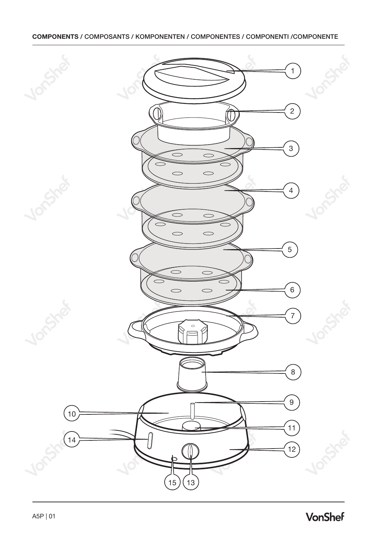# **COMPONENTS /** COMPOSANTS / KOMPONENTEN / COMPONENTES / COMPONENTI /COMPONENTE

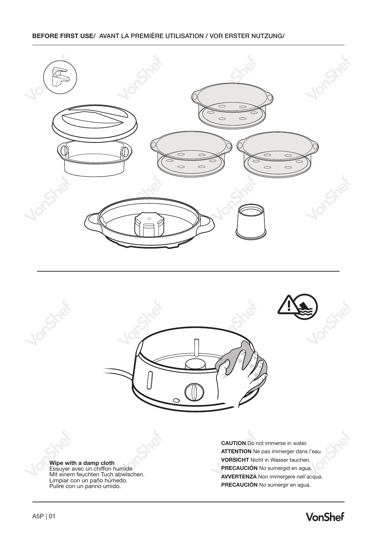# **BEFORE FIRST USE/** AVANT LA PREMIÈRE UTILISATION / VOR ERSTER NUTZUNG/







**ATTENTION** Ne pas immerger dans l'eau. **VORSICHT** Nicht in Wasser tauchen. **PRECAUCIÓN** No sumergid en agua. **AVVERTENZA** Non immergere nell'acqua. **PRECAUCIÓN** No sumergir en agua.

**CAUTION** Do not immerse in water.

**Wipe with a damp cloth**<br>Essuyer avec un chiffon humide<br>Mit einem feuchten Tuch abwischen.<br>Limpiar con un paño húmedo. Pulire con un panno umido.

# **VonShef**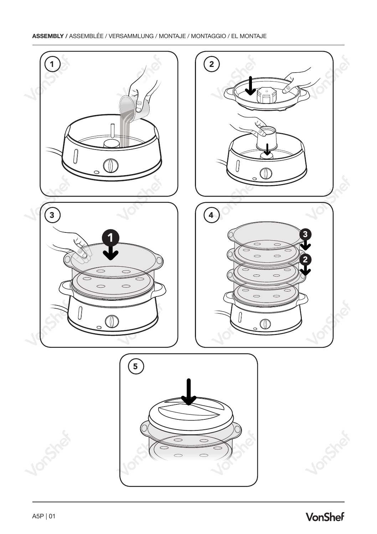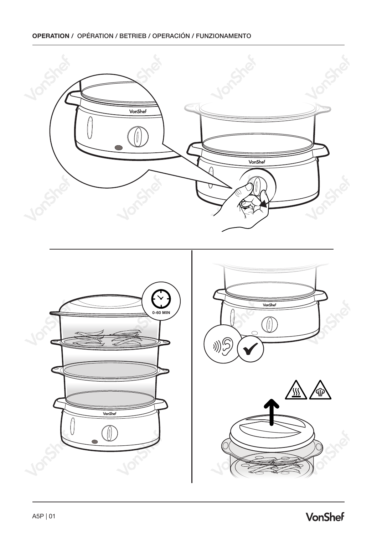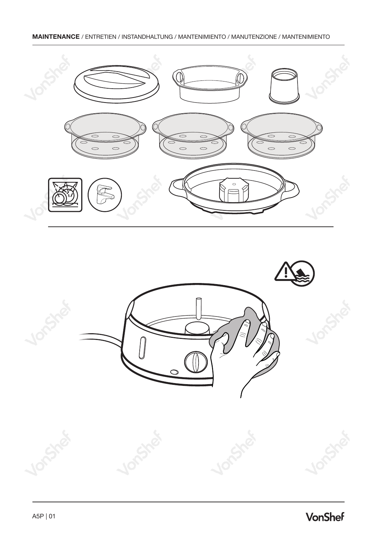# **MAINTENANCE** / ENTRETIEN / INSTANDHALTUNG / MANTENIMIENTO / MANUTENZIONE / MANTENIMIENTO



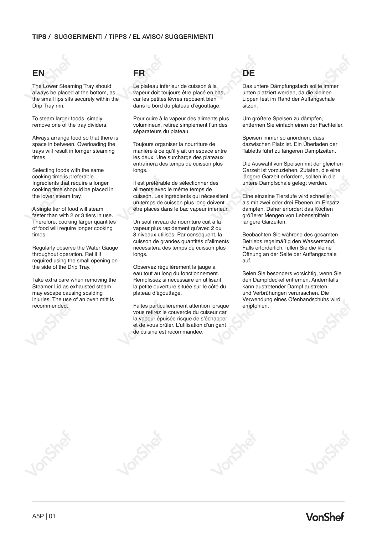# **EN FR DE**

The Lower Steaming Tray should always be placed at the bottom, as the small lips sits securely within the Drip Tray rim.

To steam larger foods, simply remove one of the tray dividers.

Always arrange food so that there is space in between. Overloading the trays will result in lomger steaming times.

Selecting foods with the same cooking time is preferable. Ingredients that require a longer cooking time shopuld be placed in the lower steam tray.

A single tier of food will steam faster than with 2 or 3 tiers in use. Therefore, cooking larger quantites of food will require longer cooking times.

Regularly observe the Water Gauge throughout operation. Refill if required using the small opening on the side of the Drip Tray.

Take extra care when removing the Steamer Lid as exhausted steam may escape causing scalding injuries. The use of an oven mitt is recommended.

Le plateau inférieur de cuisson à la vapeur doit toujours être placé en bas, car les petites lèvres reposent bien dans le bord du plateau d'égouttage.

Pour cuire à la vapeur des aliments plus volumineux, retirez simplement l'un des séparateurs du plateau.

Toujours organiser la nourriture de manière à ce qu'il y ait un espace entre les deux. Une surcharge des plateaux entraînera des temps de cuisson plus longs.

Il est préférable de sélectionner des aliments avec le même temps de cuisson. Les ingrédients qui nécessitent un temps de cuisson plus long doivent être placés dans le bac vapeur inférieur.

Un seul niveau de nourriture cuit à la vapeur plus rapidement qu'avec 2 ou 3 niveaux utilisés. Par conséquent, la cuisson de grandes quantités d'aliments nécessitera des temps de cuisson plus longs.

Observez régulièrement la jauge à eau tout au long du fonctionnement. Remplissez si nécessaire en utilisant la petite ouverture située sur le côté du plateau d'égouttage.

Faites particulièrement attention lorsque vous retirez le couvercle du cuiseur car la vapeur épuisée risque de s'échapper et de vous brûler. L'utilisation d'un gant de cuisine est recommandée.

Das untere Dämpfungsfach sollte immer unten platziert werden, da die kleinen Lippen fest im Rand der Auffangschale sitzen.

Um größere Speisen zu dämpfen, entfernen Sie einfach einen der Fachteiler.

Speisen immer so anordnen, dass dazwischen Platz ist. Ein Überladen der Tabletts führt zu längeren Dampfzeiten.

Die Auswahl von Speisen mit der gleichen Garzeit ist vorzuziehen. Zutaten, die eine längere Garzeit erfordern, sollten in die untere Dampfschale gelegt werden.

Eine einzelne Tierstufe wird schneller als mit zwei oder drei Ebenen im Einsatz dampfen. Daher erfordert das Kochen größerer Mengen von Lebensmitteln längere Garzeiten.

Beobachten Sie während des gesamten Betriebs regelmäßig den Wasserstand. Falls erforderlich, füllen Sie die kleine Öffnung an der Seite der Auffangschale auf.

Seien Sie besonders vorsichtig, wenn Sie den Dampfdeckel entfernen. Andernfalls kann austretender Dampf austreten und Verbrühungen verursachen. Die Verwendung eines Ofenhandschuhs wird empfohlen.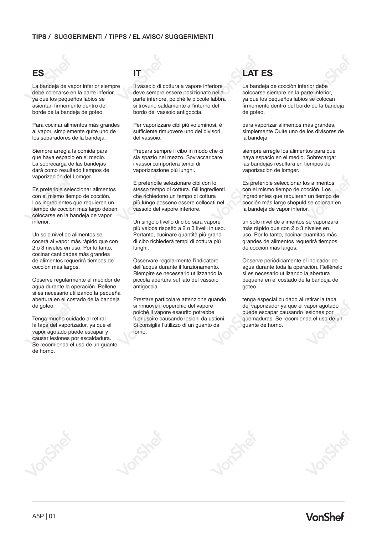La bandeja de vapor inferior siempre debe colocarse en la parte inferior, ya que los pequeños labios se asientan firmemente dentro del borde de la bandeja de goteo.

Para cocinar alimentos más grandes al vapor, simplemente quite uno de los separadores de la bandeja.

Siempre arregla la comida para que haya espacio en el medio. La sobrecarga de las bandejas dará como resultado tiempos de vaporización del Lomger.

Es preferible seleccionar alimentos con el mismo tiempo de cocción. Los ingredientes que requieren un tiempo de cocción más largo deben colocarse en la bandeja de vapor inferior.

Un solo nivel de alimentos se cocerá al vapor más rápido que con 2 o 3 niveles en uso. Por lo tanto, cocinar cantidades más grandes de alimentos requerirá tiempos de cocción más largos.

Observe regularmente el medidor de agua durante la operación. Rellene si es necesario utilizando la pequeña abertura en el costado de la bandeja de goteo.

Tenga mucho cuidado al retirar la tapa del vaporizador, ya que el vapor agotado puede escapar y causar lesiones por escaldadura. Se recomienda el uso de un guante de horno.

Il vassoio di cottura a vapore inferiore deve sempre essere posizionato nella parte inferiore, poiché le piccole labbra si trovano saldamente all'interno del bordo del vassoio antigoccia.

Per vaporizzare cibi più voluminosi, è sufficiente rimuovere uno dei divisori del vassoio.

Prepara sempre il cibo in modo che ci sia spazio nel mezzo. Sovraccaricare i vassoi comporterà tempi di vaporizzazione più lunghi.

È preferibile selezionare cibi con lo stesso tempo di cottura. Gli ingredienti che richiedono un tempo di cottura più lungo possono essere collocati nel vassoio del vapore inferiore.

Un singolo livello di cibo sarà vapore più veloce rispetto a 2 o 3 livelli in uso. Pertanto, cucinare quantità più grandi di cibo richiederà tempi di cottura più lunghi.

Osservare regolarmente l'indicatore dell'acqua durante il funzionamento. Riempire se necessario utilizzando la piccola apertura sul lato del vassoio antigoccia.

Prestare particolare attenzione quando si rimuove il coperchio del vapore poiché il vapore esaurito potrebbe fuoriuscire causando lesioni da ustioni. Si consiglia l'utilizzo di un guanto da forno.

# **ES IT LAT ES**

La bandeja de cocción inferior debe colocarse siempre en la parte inferior, ya que los pequeños labios se colocan firmemente dentro del borde de la bandeja de goteo.

para vaporizar alimentos más grandes, simplemente Quite uno de los divisores de la bandeja.

siempre arregle los alimentos para que haya espacio en el medio. Sobrecargar las bandejas resultará en tiempos de vaporización de lomger.

Es preferible seleccionar los alimentos con el mismo tiempo de cocción. Los ingredientes que requieren un tiempo de cocción más largo shopuld se colocan en la bandeja de vapor inferior.

un solo nivel de alimentos se vaporizará más rápido que con 2 o 3 niveles en uso. Por lo tanto, cocinar cuantitas más grandes de alimentos requerirá tiempos de cocción más largos.

Observe periódicamente el indicador de agua durante toda la operación. Rellénelo si es necesario utilizando la abertura pequeña en el costado de la bandeja de goteo.

tenga especial cuidado al retirar la tapa del vaporizador ya que el vapor agotado puede escapar causando lesiones por quemaduras. Se recomienda el uso de un guante de horno.

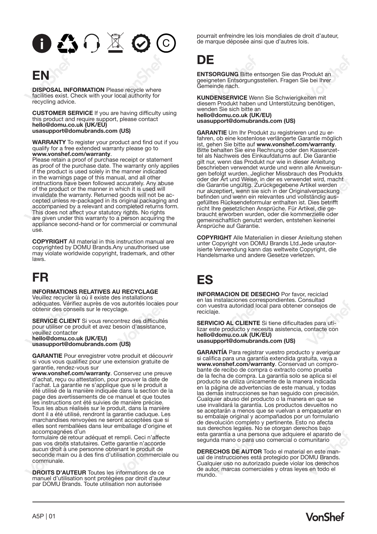# $0 \bigtriangleup \cap \mathbb{Z} \bigcirc$  $\overline{c}$

# **EN**

**DISPOSAL INFORMATION** Please recycle where facilities exist. Check with your local authority for recycling advice.

**CUSTOMER SERVICE** If you are having difficulty using this product and require support, please contact **hello@domu.co.uk (UK/EU) usasupport@domubrands.com (US)**

**WARRANTY** To register your product and find out if you qualify for a free extended warranty please go to **www.vonshef.com/warranty**.

Please retain a proof of purchase receipt or statement as proof of the purchase date. The warranty only applies if the product is used solely in the manner indicated in the warnings page of this manual, and all other instructions have been followed accurately. Any abuse of the product or the manner in which it is used will cepted unless re-packaged in its original packaging and accompanied by a relevant and completed returns form. This does not affect your statutory rights. No rights are given under this warranty to a person acquiring the appliance second-hand or for commercial or communal use.

**COPYRIGHT** All material in this instruction manual are copyrighted by DOMU Brands.Any unauthorised use may violate worldwide copyright, trademark, and other laws.

# **FR**

### **INFORMATIONS RELATIVES AU RECYCLAGE**

Veuillez recycler là où il existe des installations adéquates. Vérifiez auprès de vos autorités locales pour obtenir des conseils sur le recyclage.

**SERVICE CLIENT** Si vous rencontrez des difficultés pour utiliser ce produit et avez besoin d'assistance, veuillez contacter **hello@domu.co.uk (UK/EU) usasupport@domubrands.com (US)**

**GARANTIE** Pour enregistrer votre produit et découvrir si vous vous qualifiez pour une extension gratuite de

garantie, rendez-vous sur **www.vonshef.com/warranty**. Conservez une preuve d'achat, reçu ou attestation, pour prouver la date de l'achat. La garantie ne s'applique que si le produit a été utilisé de la manière indiquée dans la section de la page des avertissements de ce manuel et que toutes les instructions ont été suivies de manière précise. Tous les abus réalisés sur le produit, dans la manière dont il a été utilisé, rendront la garantie caduque. Les marchandises renvoyées ne seront acceptées que si elles sont remballées dans leur emballage d'origine et accompagnées d'un

formulaire de retour adéquat et rempli. Ceci n'affecte pas vos droits statutaires. Cette garantie n'accorde aucun droit à une personne obtenant le produit de seconde main ou à des fins d'utilisation commerciale ou communale.

**DROITS D'AUTEUR** Toutes les informations de ce manuel d'utilisation sont protégées par droit d'auteur par DOMU Brands. Toute utilisation non autorisée

pourrait enfreindre les lois mondiales de droit d'auteur, de marque déposée ainsi que d'autres lois.

# **DE**

**ENTSORGUNG** Bitte entsorgen Sie das Produkt an geeigneten Entsorgungsstellen. Fragen Sie bei Ihrer Gemeinde nach.

**KUNDENSERVICE** Wenn Sie Schwierigkeiten mit diesem Produkt haben und Unterstützung benötigen, wenden Sie sich bitte an **hello@domu.co.uk (UK/EU) usasupport@domubrands.com (US)**

**GARANTIE** Um Ihr Produkt zu registrieren und zu erfahren, ob eine kostenlose verlängerte Garantie möglich ist, gehen Sie bitte auf **www.vonshef.com/warranty**. Bitte behalten Sie eine Rechnung oder den Kassenzettel als Nachweis des Einkaufdatums auf. Die Garantie gilt nur, wenn das Produkt nur wie in dieser Anleitung beschrieben verwendet wurde und wenn alle Anweisungen befolgt wurden. Jeglicher Missbrauch des Produkts oder der Art und Weise, in der es verwendet wird, macht die Garantie ungültig. Zurückgegebene Artikel werden nur akzeptiert, wenn sie sich in der Originalverpackung befinden und wenn ein relevantes und vollständig ausgefülltes Rücksendeformular enthalten ist. Dies betrifft nicht Ihre gesetzlichen Ansprüche. Für Artikel, die gebraucht erworben wurden, oder die kommerzielle oder gemeinschaftlich genutzt werden, entstehen keinerlei Ansprüche auf Garantie.

**COPYRIGHT** Alle Materialien in dieser Anleitung stehen unter Copyright von DOMU Brands Ltd.Jede unautorisierte Verwendung kann das weltweite Copyright, die Handelsmarke und andere Gesetze verletzen.

# **ES**

**INFORMACION DE DESECHO** Por favor, reciclad en las instalaciones correspondientes. Consultad con vuestra autoridad local para obtener consejos de reciclaje.

**SERVICIO AL CLIENTE** Si tiene dificultades para utilizar este producto y necesita asistencia, contacte con **hello@domu.co.uk (UK/EU) usasupport@domubrands.com (US)**

**GARANTÍA** Para registrar vuestro producto y averiguar si califica para una garantía extendida gratuita, vaya a **www.vonshef.com/warranty**. Conservad un comprobante de recibo de compra o extracto como prueba de la fecha de compra. La garantía solo se aplica si el producto se utiliza únicamente de la manera indicada en la página de advertencias de este manual, y todas las demás instrucciones se han seguido con precisión. Cualquier abuso del producto o la manera en que se use invalidará la garantía. Los productos devueltos no se aceptarán a menos que se vuelvan a empaquetar en su embalaje original y acompañados por un formulario de devolución completo y pertinente. Esto no afecta sus derechos legales. No se otorgan derechos bajo esta garantía a una persona que adquiere el aparato de segunda mano o para uso comercial o comunitario

**DERECHOS DE AUTOR** Todo el material en este man- ual de instrucciones está protegido por DOMU Brands. Cualquier uso no autorizado puede violar los derechos de autor, marcas comerciales y otras leyes en todo el mundo.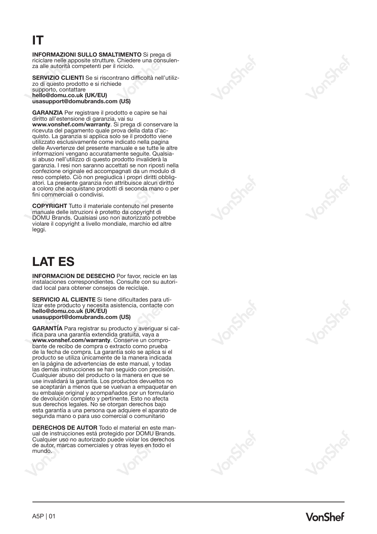# **IT**

**INFORMAZIONI SULLO SMALTIMENTO** Si prega di za alle autorità competenti per il riciclo.

**SERVIZIO CLIENTI** Se si riscontrano difficoltà nell'utiliz- zo di questo prodotto e si richiede supporto, contattare **hello@domu.co.uk (UK/EU) usasupport@domubrands.com (US)**

**GARANZIA** Per registrare il prodotto e capire se hai diritto all'estensione di garanzia, vai su **www.vonshef.com/warranty**. Si prega di conservare la ricevuta del pagamento quale prova della data d'acquisto. La garanzia si applica solo se il prodotto viene utilizzato esclusivamente come indicato nella pagina delle Avvertenze del presente manuale e se tutte le altre informazioni vengano accuratamente seguite. Qualsiasi abuso nell'utilizzo di questo prodotto invaliderà la garanzia. I resi non saranno accettati se non riposti nella confezione originale ed accompagnati da un modulo di atori. La presente garanzia non attribuisce alcun diritto a coloro che acquistano prodotti di seconda mano o per fini commerciali o condivisi.

**COPYRIGHT** Tutto il materiale contenuto nel presente manuale delle istruzioni è protetto da copyright di DOMU Brands. Qualsiasi uso non autorizzato potrebbe violare il copyright a livello mondiale, marchio ed altre leggi.

# **LAT ES**

**INFORMACION DE DESECHO** Por favor, recicle en las instalaciones correspondientes. Consulte con su autoridad local para obtener consejos de reciclaje.

**SERVICIO AL CLIENTE** Si tiene dificultades para uti- lizar este producto y necesita asistencia, contacte con **hello@domu.co.uk (UK/EU) usasupport@domubrands.com (US)**

**GARANTÍA** Para registrar su producto y averiguar si califica para una garantía extendida gratuita, vaya a<br>www.vonshef.com/warranty. Conserve un comprobante de recibo de compra o extracto como prueba de la fecha de compra. La garantía solo se aplica si el producto se utiliza únicamente de la manera indicada en la página de advertencias de este manual, y todas las demás instrucciones se han seguido con precisión. Cualquier abuso del producto o la manera en que se use invalidará la garantía. Los productos devueltos no se aceptarán a menos que se vuelvan a empaquetar en su embalaje original y acompañados por un formulario de devolución completo y pertinente. Esto no afecta sus derechos legales. No se otorgan derechos bajo esta garantía a una persona que adquiere el aparato de segunda mano o para uso comercial o comunitario

**DERECHOS DE AUTOR** Todo el material en este manual de instrucciones está protegido por DOMU Brands. Cualquier uso no autorizado puede violar los derechos de autor, marcas comerciales y otras leyes en todo el mundo.